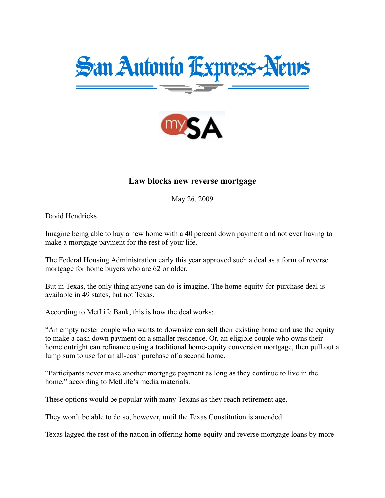



## Law blocks new reverse mortgage

May 26, 2009

David Hendricks

Imagine being able to buy a new home with a 40 percent down payment and not ever having to make a mortgage payment for the rest of your life.

The Federal Housing Administration early this year approved such a deal as a form of reverse mortgage for home buyers who are 62 or older.

But in Texas, the only thing anyone can do is imagine. The home-equity-for-purchase deal is available in 49 states, but not Texas.

According to MetLife Bank, this is how the deal works:

"An empty nester couple who wants to downsize can sell their existing home and use the equity to make a cash down payment on a smaller residence. Or, an eligible couple who owns their home outright can refinance using a traditional home-equity conversion mortgage, then pull out a lump sum to use for an all-cash purchase of a second home.

"Participants never make another mortgage payment as long as they continue to live in the home," according to MetLife's media materials.

These options would be popular with many Texans as they reach retirement age.

They won't be able to do so, however, until the Texas Constitution is amended.

Texas lagged the rest of the nation in offering home-equity and reverse mortgage loans by more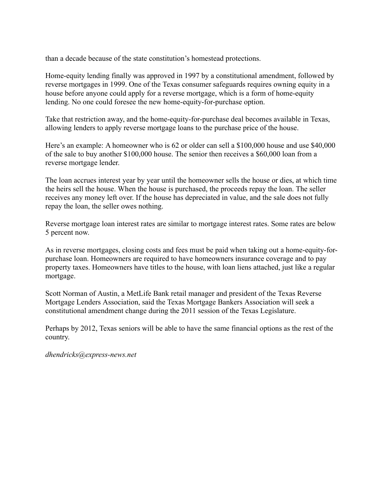than a decade because of the state constitution's homestead protections.

Home-equity lending finally was approved in 1997 by a constitutional amendment, followed by reverse mortgages in 1999. One of the Texas consumer safeguards requires owning equity in a house before anyone could apply for a reverse mortgage, which is a form of home-equity lending. No one could foresee the new home-equity-for-purchase option.

Take that restriction away, and the home-equity-for-purchase deal becomes available in Texas, allowing lenders to apply reverse mortgage loans to the purchase price of the house.

Here's an example: A homeowner who is 62 or older can sell a \$100,000 house and use \$40,000 of the sale to buy another \$100,000 house. The senior then receives a \$60,000 loan from a reverse mortgage lender.

The loan accrues interest year by year until the homeowner sells the house or dies, at which time the heirs sell the house. When the house is purchased, the proceeds repay the loan. The seller receives any money left over. If the house has depreciated in value, and the sale does not fully repay the loan, the seller owes nothing.

Reverse mortgage loan interest rates are similar to mortgage interest rates. Some rates are below 5 percent now.

As in reverse mortgages, closing costs and fees must be paid when taking out a home-equity-forpurchase loan. Homeowners are required to have homeowners insurance coverage and to pay property taxes. Homeowners have titles to the house, with loan liens attached, just like a regular mortgage.

Scott Norman of Austin, a MetLife Bank retail manager and president of the Texas Reverse Mortgage Lenders Association, said the Texas Mortgage Bankers Association will seek a constitutional amendment change during the 2011 session of the Texas Legislature.

Perhaps by 2012, Texas seniors will be able to have the same financial options as the rest of the country.

*dhendricks@express-news.net*